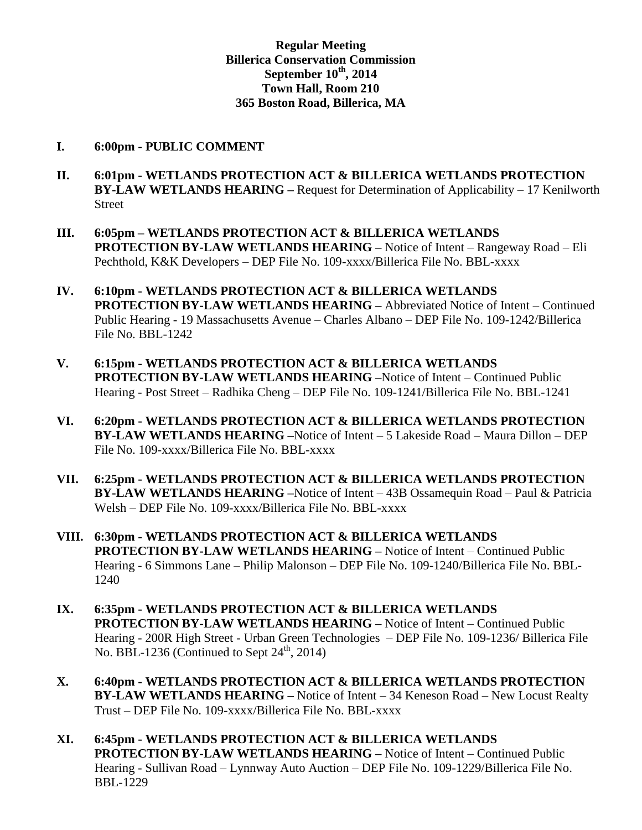## **Regular Meeting Billerica Conservation Commission September 10th , 2014 Town Hall, Room 210 365 Boston Road, Billerica, MA**

#### **I. 6:00pm - PUBLIC COMMENT**

- **II. 6:01pm - WETLANDS PROTECTION ACT & BILLERICA WETLANDS PROTECTION BY-LAW WETLANDS HEARING –** Request for Determination of Applicability – 17 Kenilworth Street
- **III. 6:05pm – WETLANDS PROTECTION ACT & BILLERICA WETLANDS PROTECTION BY-LAW WETLANDS HEARING –** Notice of Intent – Rangeway Road – Eli Pechthold, K&K Developers – DEP File No. 109-xxxx/Billerica File No. BBL-xxxx
- **IV. 6:10pm - WETLANDS PROTECTION ACT & BILLERICA WETLANDS PROTECTION BY-LAW WETLANDS HEARING –** Abbreviated Notice of Intent – Continued Public Hearing - 19 Massachusetts Avenue – Charles Albano – DEP File No. 109-1242/Billerica File No. BBL-1242
- **V. 6:15pm - WETLANDS PROTECTION ACT & BILLERICA WETLANDS PROTECTION BY-LAW WETLANDS HEARING –**Notice of Intent – Continued Public Hearing - Post Street – Radhika Cheng – DEP File No. 109-1241/Billerica File No. BBL-1241
- **VI. 6:20pm - WETLANDS PROTECTION ACT & BILLERICA WETLANDS PROTECTION BY-LAW WETLANDS HEARING –**Notice of Intent – 5 Lakeside Road – Maura Dillon – DEP File No. 109-xxxx/Billerica File No. BBL-xxxx
- **VII. 6:25pm - WETLANDS PROTECTION ACT & BILLERICA WETLANDS PROTECTION BY-LAW WETLANDS HEARING –**Notice of Intent – 43B Ossamequin Road – Paul & Patricia Welsh – DEP File No. 109-xxxx/Billerica File No. BBL-xxxx
- **VIII. 6:30pm - WETLANDS PROTECTION ACT & BILLERICA WETLANDS PROTECTION BY-LAW WETLANDS HEARING –** Notice of Intent – Continued Public Hearing - 6 Simmons Lane – Philip Malonson – DEP File No. 109-1240/Billerica File No. BBL-1240
- **IX. 6:35pm - WETLANDS PROTECTION ACT & BILLERICA WETLANDS PROTECTION BY-LAW WETLANDS HEARING –** Notice of Intent – Continued Public Hearing - 200R High Street - Urban Green Technologies – DEP File No. 109-1236/ Billerica File No. BBL-1236 (Continued to Sept  $24<sup>th</sup>$ , 2014)
- **X. 6:40pm - WETLANDS PROTECTION ACT & BILLERICA WETLANDS PROTECTION BY-LAW WETLANDS HEARING –** Notice of Intent – 34 Keneson Road – New Locust Realty Trust – DEP File No. 109-xxxx/Billerica File No. BBL-xxxx
- **XI. 6:45pm - WETLANDS PROTECTION ACT & BILLERICA WETLANDS PROTECTION BY-LAW WETLANDS HEARING –** Notice of Intent – Continued Public Hearing - Sullivan Road – Lynnway Auto Auction – DEP File No. 109-1229/Billerica File No. BBL-1229